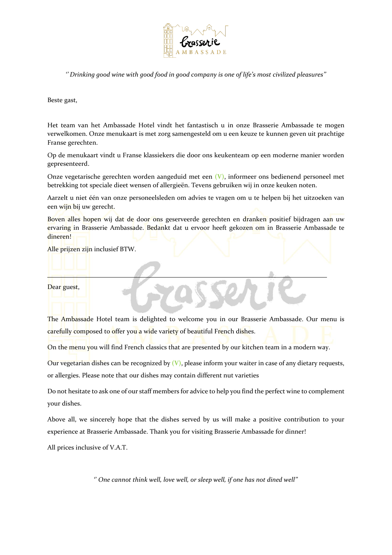

*'' Drinking good wine with good food in good company is one of life's most civilized pleasures''*

Beste gast,

Het team van het Ambassade Hotel vindt het fantastisch u in onze Brasserie Ambassade te mogen verwelkomen. Onze menukaart is met zorg samengesteld om u een keuze te kunnen geven uit prachtige Franse gerechten.

Op de menukaart vindt u Franse klassiekers die door ons keukenteam op een moderne manier worden gepresenteerd.

Onze vegetarische gerechten worden aangeduid met een **(V)**, informeer ons bedienend personeel met betrekking tot speciale dieet wensen of allergieën. Tevens gebruiken wij in onze keuken noten.

Aarzelt u niet één van onze personeelsleden om advies te vragen om u te helpen bij het uitzoeken van een wijn bij uw gerecht.

Boven alles hopen wij dat de door ons geserveerde gerechten en dranken positief bijdragen aan uw ervaring in Brasserie Ambassade. Bedankt dat u ervoor heeft gekozen om in Brasserie Ambassade te dineren!

l,

Alle prijzen zijn inclusief BTW.

Dear guest,

The Ambassade Hotel team is delighted to welcome you in our Brasserie Ambassade. Our menu is carefully composed to offer you a wide variety of beautiful French dishes.

On the menu you will find French classics that are presented by our kitchen team in a modern way.

Our vegetarian dishes can be recognized by **(V)**, please inform your waiter in case of any dietary requests, or allergies. Please note that our dishes may contain different nut varieties

Do not hesitate to ask one of our staff members for advice to help you find the perfect wine to complement your dishes.

Above all, we sincerely hope that the dishes served by us will make a positive contribution to your experience at Brasserie Ambassade. Thank you for visiting Brasserie Ambassade for dinner!

All prices inclusive of V.A.T.

'' *One cannot think well, love well, or sleep well, if one has not dined well''*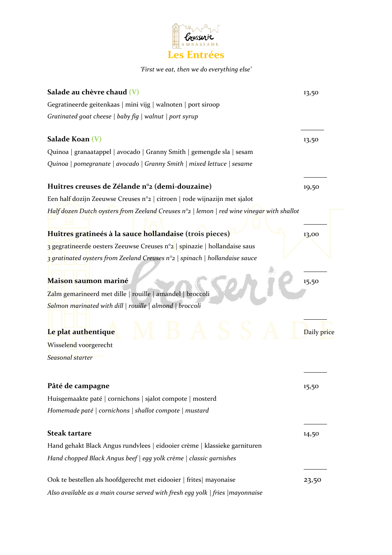

## *'First we eat, then we do everything else'*

| Salade au chèvre chaud (V)                                                                        | 13,50       |
|---------------------------------------------------------------------------------------------------|-------------|
| Gegratineerde geitenkaas   mini vijg   walnoten   port siroop                                     |             |
| Gratinated goat cheese   baby fig   walnut   port syrup                                           |             |
| Salade Koan $(V)$                                                                                 | 13,50       |
| Quinoa   granaatappel   avocado   Granny Smith   gemengde sla   sesam                             |             |
| Quinoa   pomegranate   avocado   Granny Smith   mixed lettuce   sesame                            |             |
| Huîtres creuses de Zélande n°2 (demi-douzaine)                                                    | 19,50       |
| Een half dozijn Zeeuwse Creuses n°2   citroen   rode wijnazijn met sjalot                         |             |
| Half dozen Dutch oysters from Zeeland Creuses $n^{\circ}$   lemon   red wine vinegar with shallot |             |
| Huîtres gratineés à la sauce hollandaise (trois pieces)                                           | 13,00       |
| 3 gegratineerde oesters Zeeuwse Creuses n°2   spinazie   hollandaise saus                         |             |
| 3 gratinated oysters from Zeeland Creuses n°2   spinach   hollandaise sauce                       |             |
| Maison saumon mariné                                                                              | 15,50       |
| Zalm gemarineerd met dille   rouille   amandel   broccoli                                         |             |
| Salmon marinated with dill   rouille   almond   broccoli                                          |             |
| Le plat authentique                                                                               | Daily price |
| Wisselend voorgerecht                                                                             |             |
| Seasonal starter                                                                                  |             |
| Pâté de campagne                                                                                  | 15,50       |
| Huisgemaakte paté   cornichons   sjalot compote   mosterd                                         |             |
| Homemade paté   cornichons   shallot compote   mustard                                            |             |
| <b>Steak tartare</b>                                                                              | 14,50       |
| Hand gehakt Black Angus rundvlees   eidooier crème   klassieke garnituren                         |             |
| Hand chopped Black Angus beef   egg yolk crème   classic garnishes                                |             |
| Ook te bestellen als hoofdgerecht met eidooier   frites  mayonaise                                | 23,50       |
| Also available as a main course served with fresh egg yolk   fries   mayonnaise                   |             |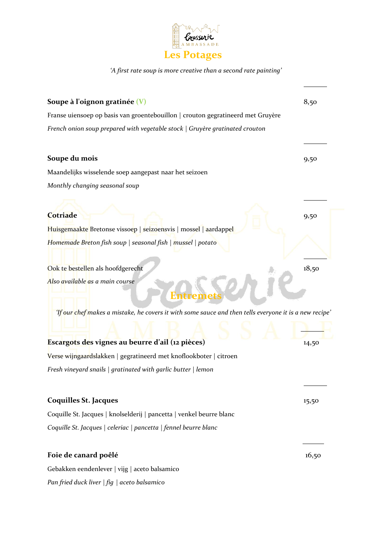

*'A first rate soup is more creative than a second rate painting'* 

| Soupe à l'oignon gratinée $(V)$                                                                        | 8,50  |
|--------------------------------------------------------------------------------------------------------|-------|
| Franse uiensoep op basis van groentebouillon   crouton gegratineerd met Gruyère                        |       |
| French onion soup prepared with vegetable stock   Gruyère gratinated crouton                           |       |
|                                                                                                        |       |
| Soupe du mois                                                                                          | 9,50  |
| Maandelijks wisselende soep aangepast naar het seizoen                                                 |       |
| Monthly changing seasonal soup                                                                         |       |
|                                                                                                        |       |
| <b>Cotriade</b>                                                                                        | 9,50  |
| Huisgemaakte Bretonse vissoep   seizoensvis   mossel   aardappel                                       |       |
| Homemade Breton fish soup   seasonal fish   mussel   potato                                            |       |
|                                                                                                        |       |
| Ook te bestellen als hoofdgerecht                                                                      | 18,50 |
| Also available as a main course                                                                        |       |
|                                                                                                        |       |
| 'If our chef makes a mistake, he covers it with some sauce and then tells everyone it is a new recipe' |       |
|                                                                                                        |       |
| Escargots des vignes au beurre d'ail (12 pièces)                                                       | 14,50 |
| Verse wijngaardslakken   gegratineerd met knoflookboter   citroen                                      |       |
| Fresh vineyard snails $ $ gratinated with garlic butter $ $ lemon                                      |       |
|                                                                                                        |       |
| <b>Coquilles St. Jacques</b>                                                                           | 15,50 |
| Coquille St. Jacques   knolselderij   pancetta   venkel beurre blanc                                   |       |
| Coquille St. Jacques   celeriac   pancetta   fennel beurre blanc                                       |       |
|                                                                                                        |       |
| Foie de canard poêlé                                                                                   | 16,50 |
| Gebakken eendenlever   vijg   aceto balsamico                                                          |       |
| Pan fried duck liver $ fig $ aceto balsamico                                                           |       |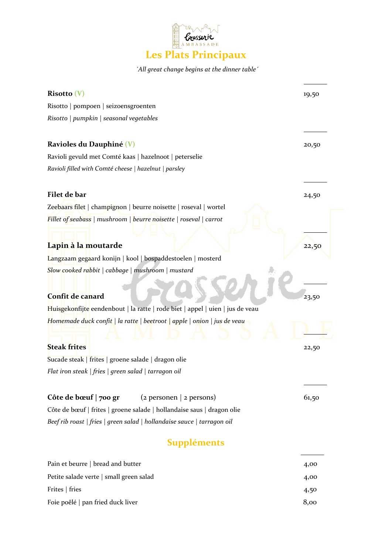

## *´All great change begins at the dinner table´*

| Risotto (V)                                                                   | 19,50 |
|-------------------------------------------------------------------------------|-------|
| Risotto   pompoen   seizoensgroenten                                          |       |
| Risotto   pumpkin   seasonal vegetables                                       |       |
|                                                                               |       |
| <b>Ravioles du Dauphiné (V)</b>                                               | 20,50 |
| Ravioli gevuld met Comté kaas   hazelnoot   peterselie                        |       |
| Ravioli filled with Comté cheese   hazelnut   parsley                         |       |
| Filet de bar                                                                  | 24,50 |
| Zeebaars filet   champignon   beurre noisette   roseval   wortel              |       |
| Fillet of seabass   mushroom   beurre noisette   roseval   carrot             |       |
| Lapin à la moutarde                                                           | 22,50 |
| Langzaam gegaard konijn   kool   bospaddestoelen   mosterd                    |       |
| Slow cooked rabbit   cabbage   mushroom   mustard                             |       |
|                                                                               |       |
| Confit de canard                                                              | 23,50 |
| Huisgekonfijte eendenbout   la ratte   rode biet   appel   uien   jus de veau |       |
| Homemade duck confit   la ratte   beetroot   apple   onion   jus de veau      |       |
|                                                                               |       |
| <b>Steak frites</b>                                                           | 22,50 |
| Sucade steak   frites   groene salade   dragon olie                           |       |
| Flat iron steak   fries   green salad   tarragon oil                          |       |
| Côte de bœuf   700 gr<br>$(z$ personen   2 persons)                           | 61,50 |
| Côte de bœuf   frites   groene salade   hollandaise saus   dragon olie        |       |
| Beef rib roast   fries   green salad   hollandaise sauce   tarragon oil       |       |
| <b>Suppléments</b>                                                            |       |
| Pain et beurre   bread and butter                                             | 4,00  |
| Petite salade verte   small green salad                                       | 4,00  |
| Frites   fries                                                                | 4,50  |
| Foie poêlé   pan fried duck liver                                             | 8,00  |
|                                                                               |       |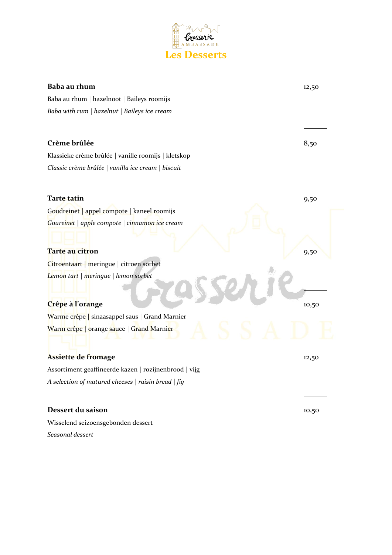

| Baba au rhum                                          | 12,50 |
|-------------------------------------------------------|-------|
| Baba au rhum   hazelnoot   Baileys roomijs            |       |
| Baba with rum   hazelnut   Baileys ice cream          |       |
|                                                       |       |
| Crème brûlée                                          | 8,50  |
| Klassieke crème brûlée   vanille roomijs   kletskop   |       |
| Classic crème brûlée   vanilla ice cream   biscuit    |       |
|                                                       |       |
| Tarte tatin                                           | 9,50  |
| Goudreinet   appel compote   kaneel roomijs           |       |
| Goureinet   apple compote   cinnamon ice cream        |       |
| Tarte au citron                                       | 9,50  |
| Citroentaart   meringue   citroen sorbet              |       |
| Lemon tart   meringue   lemon sorbet                  |       |
| Crêpe à l'orange                                      | 10,50 |
| Warme crêpe   sinaasappel saus   Grand Marnier        |       |
| Warm crêpe   orange sauce   Grand Marnier             |       |
| Assiette de fromage                                   | 12,50 |
| Assortiment geaffineerde kazen   rozijnenbrood   vijg |       |
| A selection of matured cheeses   raisin bread   fig   |       |
|                                                       |       |
| Dessert du saison                                     | 10,50 |
| Wisselend seizoensgebonden dessert                    |       |
| Seasonal dessert                                      |       |